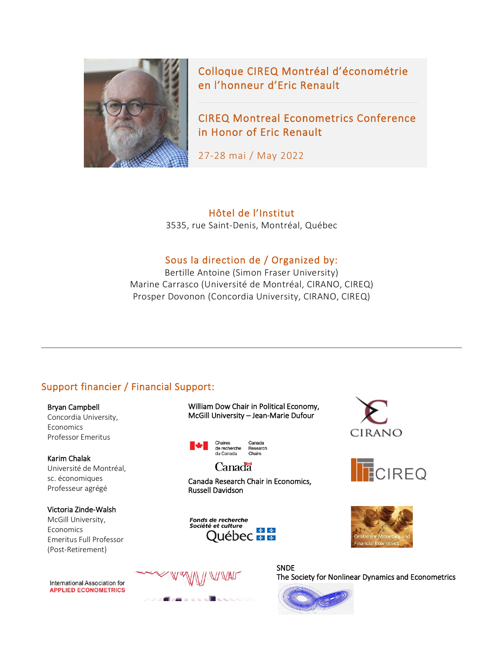

Colloque CIREQ Montréal d'économétrie en l'honneur d'Eric Renault

# CIREQ Montreal Econometrics Conference in Honor of Eric Renault

27-28 mai / May 2022

Hôtel de l'Institut 3535, rue Saint-Denis, Montréal, Québec

# Sous la direction de / Organized by:

[Bertille Antoine](http://www.sfu.ca/%7Ebaa7/) (Simon Fraser University) [Marine Carrasco](https://www.webdepot.umontreal.ca/Usagers/carrascm/MonDepotPublic/carrascm/index.htm) (Université de Montréal, CIRANO, CIREQ) [Prosper Dovonon](https://sites.google.com/site/prosperdovonon/) (Concordia University, CIRANO, CIREQ)

# Support financier / Financial Support:

#### Bryan Campbell

Concordia University, **Economics** Professor Emeritus

Karim Chalak Université de Montréal, sc. économiques Professeur agrégé

#### Victoria Zinde-Walsh

McGill University, Economics Emeritus Full Professor (Post-Retirement)

International Association for **APPLIED ECONOMETRICS** 





Canadä

Canada Research Chair in Economics, Russell Davidson

Fonds de recherche<br>Société et culture ☆ ☆ <u> Juébec ले ल</u>









SNDE The Society for Nonlinear Dynamics and Econometrics

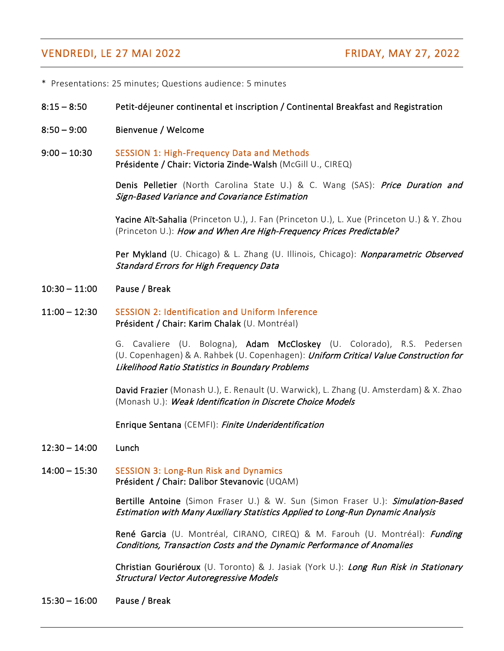# VENDREDI, LE 27 MAI 2022 FRIDAY, MAY 27, 2022

\* Presentations: 25 minutes; Questions audience: 5 minutes

### 8:15 – 8:50 Petit-déjeuner continental et inscription / Continental Breakfast and Registration

- 8:50 9:00 Bienvenue / Welcome
- 9:00 10:30 SESSION 1: High-Frequency Data and Methods Présidente / Chair: Victoria Zinde-Walsh (McGill U., CIREQ)

Denis Pelletier (North Carolina State U.) & C. Wang (SAS): Price Duration and Sign-Based Variance and Covariance Estimation

Yacine Aït-Sahalia (Princeton U.), J. Fan (Princeton U.), L. Xue (Princeton U.) & Y. Zhou (Princeton U.): How and When Are High-Frequency Prices Predictable?

Per Mykland (U. Chicago) & L. Zhang (U. Illinois, Chicago): Nonparametric Observed Standard Errors for High Frequency Data

- 10:30 11:00 Pause / Break
- 11:00 12:30 SESSION 2: Identification and Uniform Inference Président / Chair: Karim Chalak (U. Montréal)

G. Cavaliere (U. Bologna), Adam McCloskey (U. Colorado), R.S. Pedersen (U. Copenhagen) & A. Rahbek (U. Copenhagen): *Uniform Critical Value Construction for* Likelihood Ratio Statistics in Boundary Problems

David Frazier (Monash U.), E. Renault (U. Warwick), L. Zhang (U. Amsterdam) & X. Zhao (Monash U.): Weak Identification in Discrete Choice Models

Enrique Sentana (CEMFI): Finite Underidentification

- 12:30 14:00 Lunch
- 14:00 15:30 SESSION 3: Long-Run Risk and Dynamics Président / Chair: Dalibor Stevanovic (UQAM)

Bertille Antoine (Simon Fraser U.) & W. Sun (Simon Fraser U.): Simulation-Based Estimation with Many Auxiliary Statistics Applied to Long-Run Dynamic Analysis

René Garcia (U. Montréal, CIRANO, CIREQ) & M. Farouh (U. Montréal): *Funding* Conditions, Transaction Costs and the Dynamic Performance of Anomalies

Christian Gouriéroux (U. Toronto) & J. Jasiak (York U.): Long Run Risk in Stationary Structural Vector Autoregressive Models

15:30 – 16:00 Pause / Break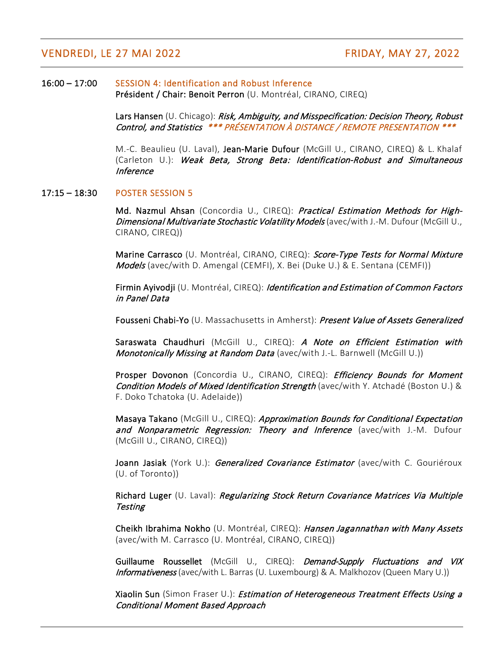## VENDREDI, LE 27 MAI 2022 FRIDAY, MAY 27, 2022

### 16:00 – 17:00 SESSION 4: Identification and Robust Inference Président / Chair: Benoit Perron (U. Montréal, CIRANO, CIREQ)

Lars Hansen (U. Chicago): Risk, Ambiguity, and Misspecification: Decision Theory, Robust Control, and Statistics \*\*\* PRÉSENTATION À DISTANCE / REMOTE PRESENTATION \*\*\*

M.-C. Beaulieu (U. Laval), Jean-Marie Dufour (McGill U., CIRANO, CIREQ) & L. Khalaf (Carleton U.): Weak Beta, Strong Beta: Identification-Robust and Simultaneous Inference

#### 17:15 – 18:30 POSTER SESSION 5

Md. Nazmul Ahsan (Concordia U., CIREQ): Practical Estimation Methods for High-Dimensional Multivariate Stochastic Volatility Models (avec/with J.-M. Dufour (McGill U., CIRANO, CIREQ))

Marine Carrasco (U. Montréal, CIRANO, CIREQ): Score-Type Tests for Normal Mixture Models (avec/with D. Amengal (CEMFI), X. Bei (Duke U.) & E. Sentana (CEMFI))

Firmin Ayivodji (U. Montréal, CIREQ): *Identification and Estimation of Common Factors* in Panel Data

Fousseni Chabi-Yo (U. Massachusetts in Amherst): Present Value of Assets Generalized

Saraswata Chaudhuri (McGill U., CIREQ): A Note on Efficient Estimation with Monotonically Missing at Random Data (avec/with J.-L. Barnwell (McGill U.))

Prosper Dovonon (Concordia U., CIRANO, CIREQ): Efficiency Bounds for Moment Condition Models of Mixed Identification Strength (avec/with Y. Atchadé (Boston U.) & F. Doko Tchatoka (U. Adelaide))

Masaya Takano (McGill U., CIREQ): Approximation Bounds for Conditional Expectation and Nonparametric Regression: Theory and Inference (avec/with J.-M. Dufour (McGill U., CIRANO, CIREQ))

Joann Jasiak (York U.): *Generalized Covariance Estimator* (avec/with C. Gouriéroux (U. of Toronto))

Richard Luger (U. Laval): Regularizing Stock Return Covariance Matrices Via Multiple **Testing** 

Cheikh Ibrahima Nokho (U. Montréal, CIREQ): Hansen Jagannathan with Many Assets (avec/with M. Carrasco (U. Montréal, CIRANO, CIREQ))

Guillaume Roussellet (McGill U., CIREQ): Demand-Supply Fluctuations and VIX Informativeness (avec/with L. Barras (U. Luxembourg) & A. Malkhozov (Queen Mary U.))

Xiaolin Sun (Simon Fraser U.): *Estimation of Heterogeneous Treatment Effects Using a* Conditional Moment Based Approach